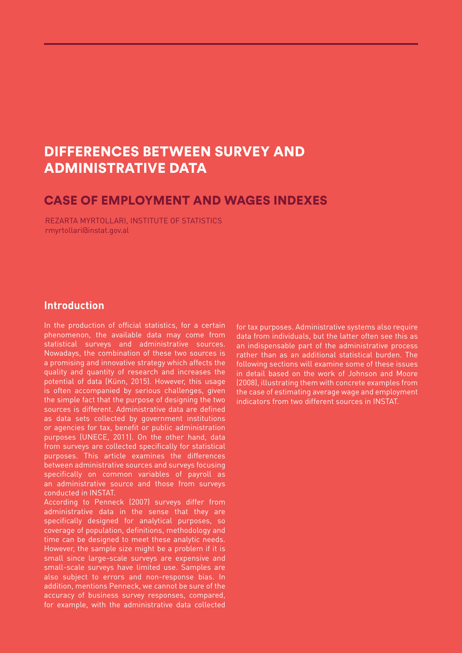# DIFFERENCES BETWEEN SURVEY AND ADMINISTRATIVE DATA

#### CASE OF EMPLOYMENT AND WAGES INDEXES

REZARTA MYRTOLLARI, INSTITUTE OF STATISTICS rmyrtollari@instat.gov.al

#### **Introduction**

In the production of official statistics, for a certain phenomenon, the available data may come from statistical surveys and administrative sources. Nowadays, the combination of these two sources is a promising and innovative strategy which affects the quality and quantity of research and increases the potential of data (Künn, 2015). However, this usage is often accompanied by serious challenges, given the simple fact that the purpose of designing the two sources is different. Administrative data are defined as data sets collected by government institutions or agencies for tax, benefit or public administration purposes (UNECE, 2011). On the other hand, data from surveys are collected specifically for statistical purposes. This article examines the differences between administrative sources and surveys focusing specifically on common variables of payroll as an administrative source and those from surveys conducted in INSTAT.

According to Penneck (2007) surveys differ from administrative data in the sense that they are specifically designed for analytical purposes, so coverage of population, definitions, methodology and time can be designed to meet these analytic needs. However, the sample size might be a problem if it is small since large-scale surveys are expensive and small-scale surveys have limited use. Samples are also subject to errors and non-response bias. In addition, mentions Penneck, we cannot be sure of the accuracy of business survey responses, compared, for example, with the administrative data collected

for tax purposes. Administrative systems also require data from individuals, but the latter often see this as an indispensable part of the administrative process rather than as an additional statistical burden. The following sections will examine some of these issues in detail based on the work of Johnson and Moore (2008), illustrating them with concrete examples from the case of estimating average wage and employment indicators from two different sources in INSTAT.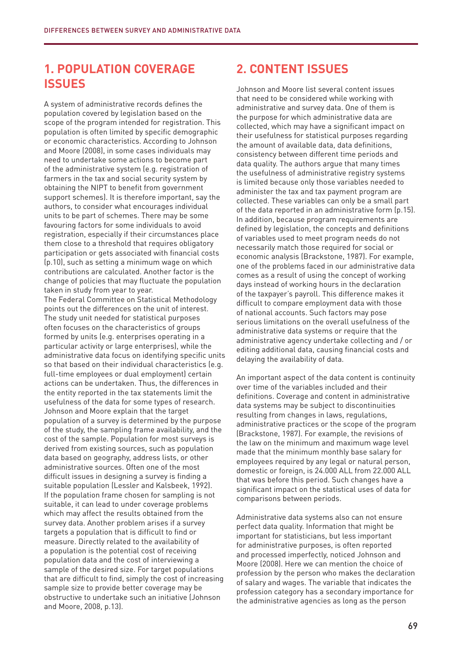### **1. POPULATION COVERAGE ISSUES**

A system of administrative records defines the population covered by legislation based on the scope of the program intended for registration. This population is often limited by specific demographic or economic characteristics. According to Johnson and Moore (2008), in some cases individuals may need to undertake some actions to become part of the administrative system (e.g. registration of farmers in the tax and social security system by obtaining the NIPT to benefit from government support schemes). It is therefore important, say the authors, to consider what encourages individual units to be part of schemes. There may be some favouring factors for some individuals to avoid registration, especially if their circumstances place them close to a threshold that requires obligatory participation or gets associated with financial costs (p.10), such as setting a minimum wage on which contributions are calculated. Another factor is the change of policies that may fluctuate the population taken in study from year to year.

The Federal Committee on Statistical Methodology points out the differences on the unit of interest. The study unit needed for statistical purposes often focuses on the characteristics of groups formed by units (e.g. enterprises operating in a particular activity or large enterprises), while the administrative data focus on identifying specific units so that based on their individual characteristics (e.g. full-time employees or dual employment) certain actions can be undertaken. Thus, the differences in the entity reported in the tax statements limit the usefulness of the data for some types of research. Johnson and Moore explain that the target population of a survey is determined by the purpose of the study, the sampling frame availability, and the cost of the sample. Population for most surveys is derived from existing sources, such as population data based on geography, address lists, or other administrative sources. Often one of the most difficult issues in designing a survey is finding a suitable population (Lessler and Kalsbeek, 1992). If the population frame chosen for sampling is not suitable, it can lead to under coverage problems which may affect the results obtained from the survey data. Another problem arises if a survey targets a population that is difficult to find or measure. Directly related to the availability of a population is the potential cost of receiving population data and the cost of interviewing a sample of the desired size. For target populations that are difficult to find, simply the cost of increasing sample size to provide better coverage may be obstructive to undertake such an initiative (Johnson and Moore, 2008, p.13).

## **2. CONTENT ISSUES**

Johnson and Moore list several content issues that need to be considered while working with administrative and survey data. One of them is the purpose for which administrative data are collected, which may have a significant impact on their usefulness for statistical purposes regarding the amount of available data, data definitions, consistency between different time periods and data quality. The authors argue that many times the usefulness of administrative registry systems is limited because only those variables needed to administer the tax and tax payment program are collected. These variables can only be a small part of the data reported in an administrative form (p.15). In addition, because program requirements are defined by legislation, the concepts and definitions of variables used to meet program needs do not necessarily match those required for social or economic analysis (Brackstone, 1987). For example, one of the problems faced in our administrative data comes as a result of using the concept of working days instead of working hours in the declaration of the taxpayer's payroll. This difference makes it difficult to compare employment data with those of national accounts. Such factors may pose serious limitations on the overall usefulness of the administrative data systems or require that the administrative agency undertake collecting and / or editing additional data, causing financial costs and delaying the availability of data.

An important aspect of the data content is continuity over time of the variables included and their definitions. Coverage and content in administrative data systems may be subject to discontinuities resulting from changes in laws, regulations, administrative practices or the scope of the program (Brackstone, 1987). For example, the revisions of the law on the minimum and maximum wage level made that the minimum monthly base salary for employees required by any legal or natural person, domestic or foreign, is 24.000 ALL from 22.000 ALL that was before this period. Such changes have a significant impact on the statistical uses of data for comparisons between periods.

Administrative data systems also can not ensure perfect data quality. Information that might be important for statisticians, but less important for administrative purposes, is often reported and processed imperfectly, noticed Johnson and Moore (2008). Here we can mention the choice of profession by the person who makes the declaration of salary and wages. The variable that indicates the profession category has a secondary importance for the administrative agencies as long as the person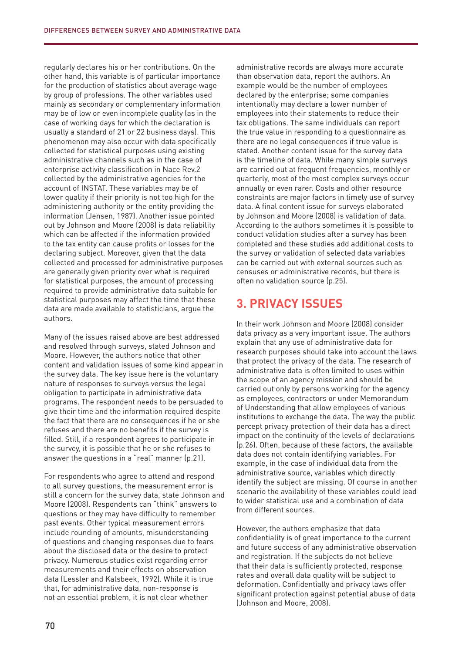regularly declares his or her contributions. On the other hand, this variable is of particular importance for the production of statistics about average wage by group of professions. The other variables used mainly as secondary or complementary information may be of low or even incomplete quality (as in the case of working days for which the declaration is usually a standard of 21 or 22 business days). This phenomenon may also occur with data specifically collected for statistical purposes using existing administrative channels such as in the case of enterprise activity classification in Nace Rev.2 collected by the administrative agencies for the account of INSTAT. These variables may be of lower quality if their priority is not too high for the administering authority or the entity providing the information (Jensen, 1987). Another issue pointed out by Johnson and Moore (2008) is data reliability which can be affected if the information provided to the tax entity can cause profits or losses for the declaring subject. Moreover, given that the data collected and processed for administrative purposes are generally given priority over what is required for statistical purposes, the amount of processing required to provide administrative data suitable for statistical purposes may affect the time that these data are made available to statisticians, argue the authors.

Many of the issues raised above are best addressed and resolved through surveys, stated Johnson and Moore. However, the authors notice that other content and validation issues of some kind appear in the survey data. The key issue here is the voluntary nature of responses to surveys versus the legal obligation to participate in administrative data programs. The respondent needs to be persuaded to give their time and the information required despite the fact that there are no consequences if he or she refuses and there are no benefits if the survey is filled. Still, if a respondent agrees to participate in the survey, it is possible that he or she refuses to answer the questions in a "real" manner (p.21).

For respondents who agree to attend and respond to all survey questions, the measurement error is still a concern for the survey data, state Johnson and Moore (2008). Respondents can "think" answers to questions or they may have difficulty to remember past events. Other typical measurement errors include rounding of amounts, misunderstanding of questions and changing responses due to fears about the disclosed data or the desire to protect privacy. Numerous studies exist regarding error measurements and their effects on observation data (Lessler and Kalsbeek, 1992). While it is true that, for administrative data, non-response is not an essential problem, it is not clear whether

administrative records are always more accurate than observation data, report the authors. An example would be the number of employees declared by the enterprise; some companies intentionally may declare a lower number of employees into their statements to reduce their tax obligations. The same individuals can report the true value in responding to a questionnaire as there are no legal consequences if true value is stated. Another content issue for the survey data is the timeline of data. While many simple surveys are carried out at frequent frequencies, monthly or quarterly, most of the most complex surveys occur annually or even rarer. Costs and other resource constraints are major factors in timely use of survey data. A final content issue for surveys elaborated by Johnson and Moore (2008) is validation of data. According to the authors sometimes it is possible to conduct validation studies after a survey has been completed and these studies add additional costs to the survey or validation of selected data variables can be carried out with external sources such as censuses or administrative records, but there is often no validation source (p.25).

# **3. PRIVACY ISSUES**

In their work Johnson and Moore (2008) consider data privacy as a very important issue. The authors explain that any use of administrative data for research purposes should take into account the laws that protect the privacy of the data. The research of administrative data is often limited to uses within the scope of an agency mission and should be carried out only by persons working for the agency as employees, contractors or under Memorandum of Understanding that allow employees of various institutions to exchange the data. The way the public percept privacy protection of their data has a direct impact on the continuity of the levels of declarations (p.26). Often, because of these factors, the available data does not contain identifying variables. For example, in the case of individual data from the administrative source, variables which directly identify the subject are missing. Of course in another scenario the availability of these variables could lead to wider statistical use and a combination of data from different sources.

However, the authors emphasize that data confidentiality is of great importance to the current and future success of any administrative observation and registration. If the subjects do not believe that their data is sufficiently protected, response rates and overall data quality will be subject to deformation. Confidentially and privacy laws offer significant protection against potential abuse of data (Johnson and Moore, 2008).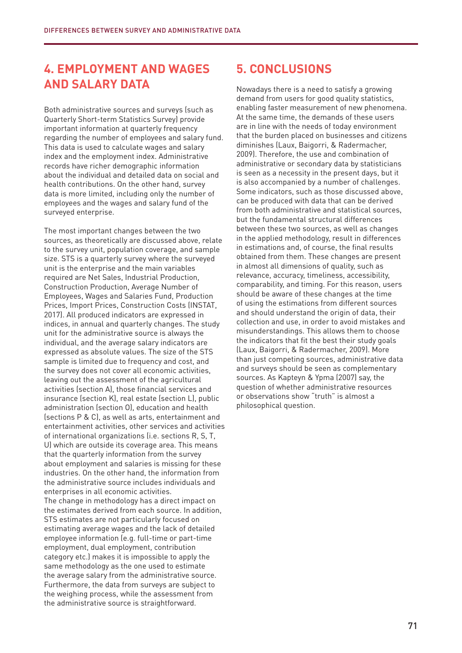# **4. EMPLOYMENT AND WAGES AND SALARY DATA**

Both administrative sources and surveys (such as Quarterly Short-term Statistics Survey) provide important information at quarterly frequency regarding the number of employees and salary fund. This data is used to calculate wages and salary index and the employment index. Administrative records have richer demographic information about the individual and detailed data on social and health contributions. On the other hand, survey data is more limited, including only the number of employees and the wages and salary fund of the surveyed enterprise.

The most important changes between the two sources, as theoretically are discussed above, relate to the survey unit, population coverage, and sample size. STS is a quarterly survey where the surveyed unit is the enterprise and the main variables required are Net Sales, Industrial Production, Construction Production, Average Number of Employees, Wages and Salaries Fund, Production Prices, Import Prices, Construction Costs (INSTAT, 2017). All produced indicators are expressed in indices, in annual and quarterly changes. The study unit for the administrative source is always the individual, and the average salary indicators are expressed as absolute values. The size of the STS sample is limited due to frequency and cost, and the survey does not cover all economic activities, leaving out the assessment of the agricultural activities (section A), those financial services and insurance (section K), real estate (section L), public administration (section O), education and health (sections P & C), as well as arts, entertainment and entertainment activities, other services and activities of international organizations (i.e. sections R, S, T, U) which are outside its coverage area. This means that the quarterly information from the survey about employment and salaries is missing for these industries. On the other hand, the information from the administrative source includes individuals and enterprises in all economic activities. The change in methodology has a direct impact on the estimates derived from each source. In addition, STS estimates are not particularly focused on estimating average wages and the lack of detailed employee information (e.g. full-time or part-time employment, dual employment, contribution category etc.) makes it is impossible to apply the same methodology as the one used to estimate the average salary from the administrative source. Furthermore, the data from surveys are subject to the weighing process, while the assessment from the administrative source is straightforward.

# **5. CONCLUSIONS**

Nowadays there is a need to satisfy a growing demand from users for good quality statistics, enabling faster measurement of new phenomena. At the same time, the demands of these users are in line with the needs of today environment that the burden placed on businesses and citizens diminishes (Laux, Baigorri, & Radermacher, 2009). Therefore, the use and combination of administrative or secondary data by statisticians is seen as a necessity in the present days, but it is also accompanied by a number of challenges. Some indicators, such as those discussed above, can be produced with data that can be derived from both administrative and statistical sources, but the fundamental structural differences between these two sources, as well as changes in the applied methodology, result in differences in estimations and, of course, the final results obtained from them. These changes are present in almost all dimensions of quality, such as relevance, accuracy, timeliness, accessibility, comparability, and timing. For this reason, users should be aware of these changes at the time of using the estimations from different sources and should understand the origin of data, their collection and use, in order to avoid mistakes and misunderstandings. This allows them to choose the indicators that fit the best their study goals (Laux, Baigorri, & Radermacher, 2009). More than just competing sources, administrative data and surveys should be seen as complementary sources. As Kapteyn & Ypma (2007) say, the question of whether administrative resources or observations show "truth" is almost a philosophical question.